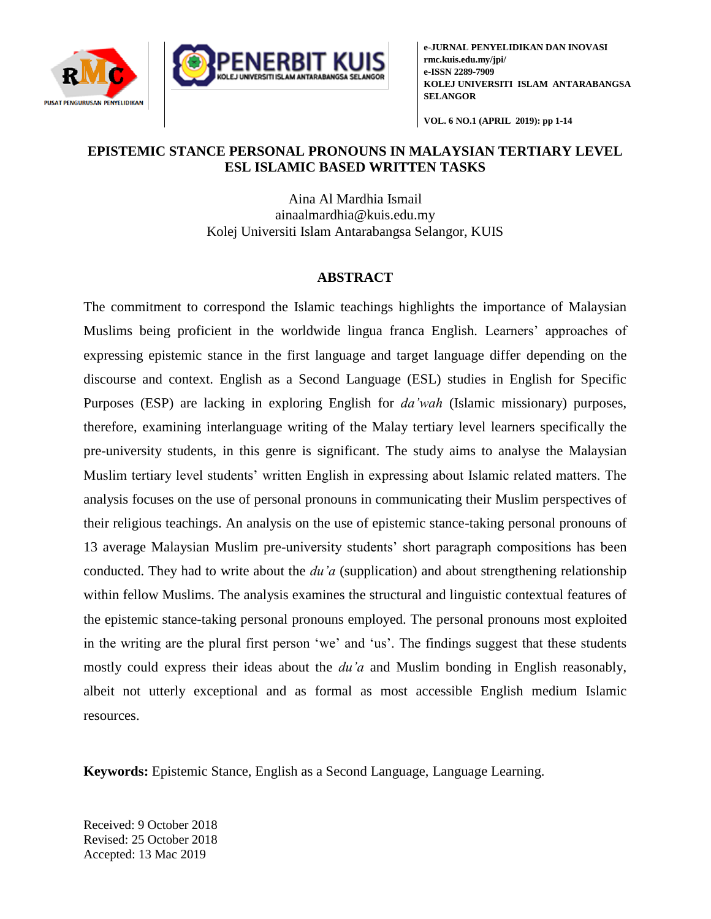



**e-JURNAL PENYELIDIKAN DAN INOVASI rmc.kuis.edu.my/jpi/ e-ISSN 2289-7909 KOLEJ UNIVERSITI ISLAM ANTARABANGSA SELANGOR**

**VOL. 6 NO.1 (APRIL 2019): pp 1-14**

## **EPISTEMIC STANCE PERSONAL PRONOUNS IN MALAYSIAN TERTIARY LEVEL ESL ISLAMIC BASED WRITTEN TASKS**

Aina Al Mardhia Ismail [ainaalmardhia@kuis.edu.my](mailto:ainaalmardhia@kuis.edu.my) Kolej Universiti Islam Antarabangsa Selangor, KUIS

# **ABSTRACT**

The commitment to correspond the Islamic teachings highlights the importance of Malaysian Muslims being proficient in the worldwide lingua franca English. Learners' approaches of expressing epistemic stance in the first language and target language differ depending on the discourse and context. English as a Second Language (ESL) studies in English for Specific Purposes (ESP) are lacking in exploring English for *da'wah* (Islamic missionary) purposes, therefore, examining interlanguage writing of the Malay tertiary level learners specifically the pre-university students, in this genre is significant. The study aims to analyse the Malaysian Muslim tertiary level students' written English in expressing about Islamic related matters. The analysis focuses on the use of personal pronouns in communicating their Muslim perspectives of their religious teachings. An analysis on the use of epistemic stance-taking personal pronouns of 13 average Malaysian Muslim pre-university students' short paragraph compositions has been conducted. They had to write about the *du'a* (supplication) and about strengthening relationship within fellow Muslims. The analysis examines the structural and linguistic contextual features of the epistemic stance-taking personal pronouns employed. The personal pronouns most exploited in the writing are the plural first person 'we' and 'us'. The findings suggest that these students mostly could express their ideas about the *du'a* and Muslim bonding in English reasonably, albeit not utterly exceptional and as formal as most accessible English medium Islamic resources.

**Keywords:** Epistemic Stance, English as a Second Language, Language Learning.

Received: 9 October 2018 Revised: 25 October 2018 Accepted: 13 Mac 2019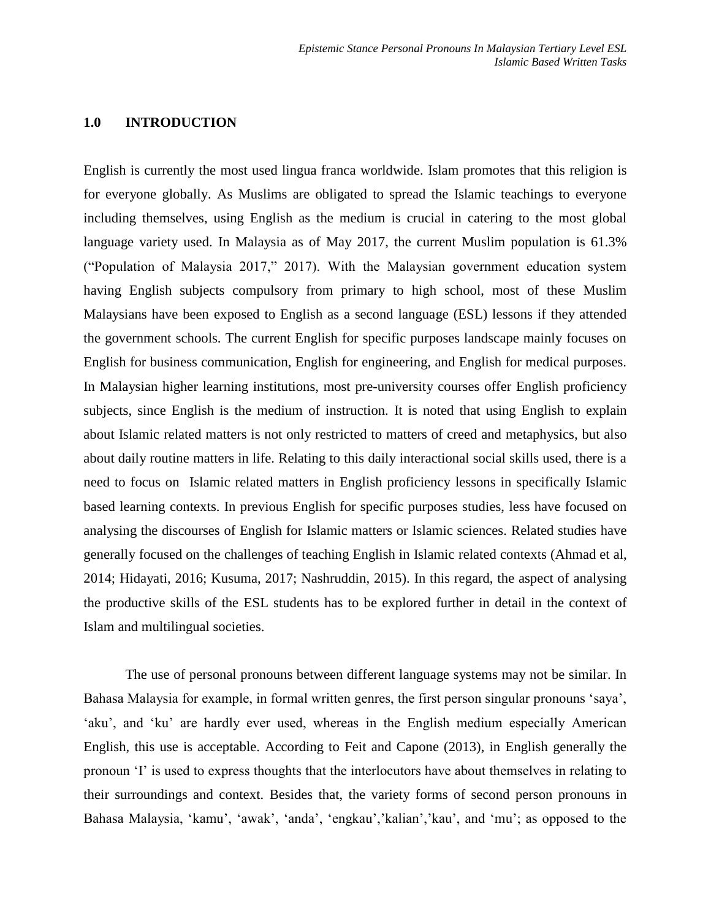### **1.0 INTRODUCTION**

English is currently the most used lingua franca worldwide. Islam promotes that this religion is for everyone globally. As Muslims are obligated to spread the Islamic teachings to everyone including themselves, using English as the medium is crucial in catering to the most global language variety used. In Malaysia as of May 2017, the current Muslim population is 61.3% ("Population of Malaysia 2017," 2017). With the Malaysian government education system having English subjects compulsory from primary to high school, most of these Muslim Malaysians have been exposed to English as a second language (ESL) lessons if they attended the government schools. The current English for specific purposes landscape mainly focuses on English for business communication, English for engineering, and English for medical purposes. In Malaysian higher learning institutions, most pre-university courses offer English proficiency subjects, since English is the medium of instruction. It is noted that using English to explain about Islamic related matters is not only restricted to matters of creed and metaphysics, but also about daily routine matters in life. Relating to this daily interactional social skills used, there is a need to focus on Islamic related matters in English proficiency lessons in specifically Islamic based learning contexts. In previous English for specific purposes studies, less have focused on analysing the discourses of English for Islamic matters or Islamic sciences. Related studies have generally focused on the challenges of teaching English in Islamic related contexts (Ahmad et al, 2014; Hidayati, 2016; Kusuma, 2017; Nashruddin, 2015). In this regard, the aspect of analysing the productive skills of the ESL students has to be explored further in detail in the context of Islam and multilingual societies.

The use of personal pronouns between different language systems may not be similar. In Bahasa Malaysia for example, in formal written genres, the first person singular pronouns 'saya', 'aku', and 'ku' are hardly ever used, whereas in the English medium especially American English, this use is acceptable. According to Feit and Capone (2013), in English generally the pronoun 'I' is used to express thoughts that the interlocutors have about themselves in relating to their surroundings and context. Besides that, the variety forms of second person pronouns in Bahasa Malaysia, 'kamu', 'awak', 'anda', 'engkau','kalian','kau', and 'mu'; as opposed to the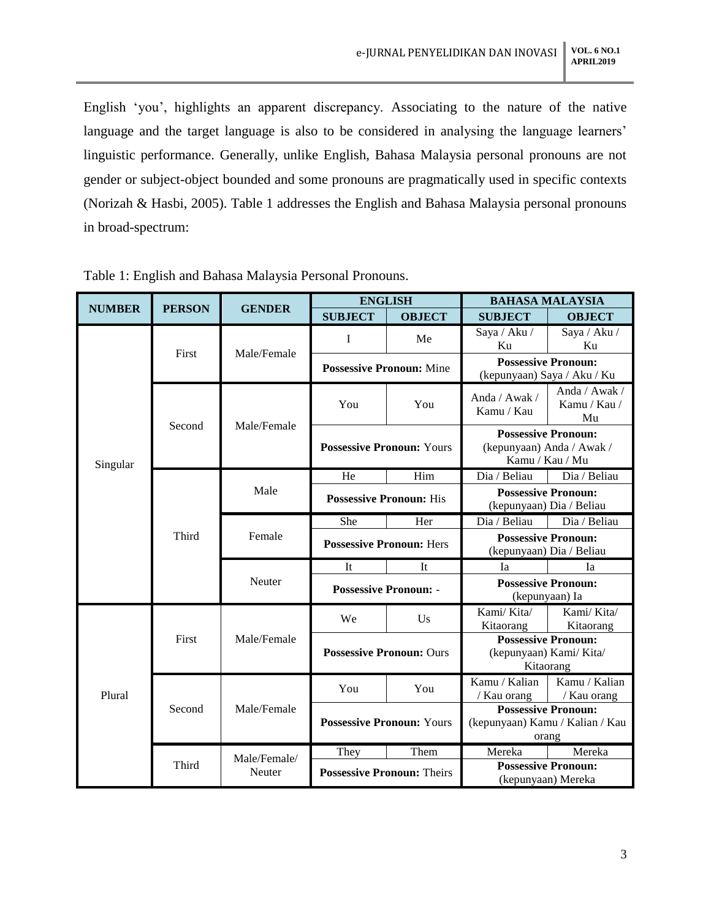English 'you', highlights an apparent discrepancy. Associating to the nature of the native language and the target language is also to be considered in analysing the language learners' linguistic performance. Generally, unlike English, Bahasa Malaysia personal pronouns are not gender or subject-object bounded and some pronouns are pragmatically used in specific contexts (Norizah & Hasbi, 2005). Table 1 addresses the English and Bahasa Malaysia personal pronouns in broad-spectrum:

| <b>NUMBER</b> | <b>PERSON</b> | <b>GENDER</b>          | <b>ENGLISH</b>                    |               | <b>BAHASA MALAYSIA</b>                                        |                                     |
|---------------|---------------|------------------------|-----------------------------------|---------------|---------------------------------------------------------------|-------------------------------------|
|               |               |                        | <b>SUBJECT</b>                    | <b>OBJECT</b> | <b>SUBJECT</b>                                                | <b>OBJECT</b>                       |
| Singular      | First         | Male/Female            | I                                 | Me            | Saya / Aku /                                                  | Saya / Aku /                        |
|               |               |                        |                                   |               | Ku                                                            | Ku                                  |
|               |               |                        | <b>Possessive Pronoun:</b> Mine   |               | <b>Possessive Pronoun:</b><br>(kepunyaan) Saya / Aku / Ku     |                                     |
|               |               |                        |                                   |               |                                                               |                                     |
|               | Second        | Male/Female            | You                               | You           | Anda / Awak /<br>Kamu / Kau                                   | Anda / Awak /<br>Kamu / Kau /<br>Mu |
|               |               |                        | <b>Possessive Pronoun: Yours</b>  |               | <b>Possessive Pronoun:</b>                                    |                                     |
|               |               |                        |                                   |               | (kepunyaan) Anda / Awak /<br>Kamu / Kau / Mu                  |                                     |
|               | Third         | Male                   | He                                | Him           | Dia / Beliau                                                  | Dia / Beliau                        |
|               |               |                        | <b>Possessive Pronoun: His</b>    |               | <b>Possessive Pronoun:</b>                                    |                                     |
|               |               |                        |                                   |               | (kepunyaan) Dia / Beliau                                      |                                     |
|               |               | Female                 | She                               | Her           | Dia / Beliau                                                  | Dia / Beliau                        |
|               |               |                        | <b>Possessive Pronoun: Hers</b>   |               | <b>Possessive Pronoun:</b>                                    |                                     |
|               |               |                        |                                   |               | (kepunyaan) Dia / Beliau                                      |                                     |
|               |               | Neuter                 | It                                | It            | Ia                                                            | Iа                                  |
|               |               |                        | <b>Possessive Pronoun: -</b>      |               | <b>Possessive Pronoun:</b><br>(kepunyaan) Ia                  |                                     |
| Plural        | First         | Male/Female            | We                                | Us            | Kami/Kita/<br>Kitaorang                                       | Kami/Kita/<br>Kitaorang             |
|               |               |                        | <b>Possessive Pronoun: Ours</b>   |               | <b>Possessive Pronoun:</b>                                    |                                     |
|               |               |                        |                                   |               | (kepunyaan) Kami/ Kita/                                       |                                     |
|               |               |                        |                                   |               | Kitaorang                                                     |                                     |
|               | Second        | Male/Female            | You                               | You           | Kamu / Kalian                                                 | Kamu / Kalian                       |
|               |               |                        |                                   |               | / Kau orang                                                   | / Kau orang                         |
|               |               |                        | <b>Possessive Pronoun: Yours</b>  |               | <b>Possessive Pronoun:</b><br>(kepunyaan) Kamu / Kalian / Kau |                                     |
|               |               |                        |                                   |               | orang                                                         |                                     |
|               | Third         | Male/Female/<br>Neuter | They                              | Them          | Mereka                                                        | Mereka                              |
|               |               |                        | <b>Possessive Pronoun: Theirs</b> |               | <b>Possessive Pronoun:</b>                                    |                                     |
|               |               |                        |                                   |               | (kepunyaan) Mereka                                            |                                     |

Table 1: English and Bahasa Malaysia Personal Pronouns.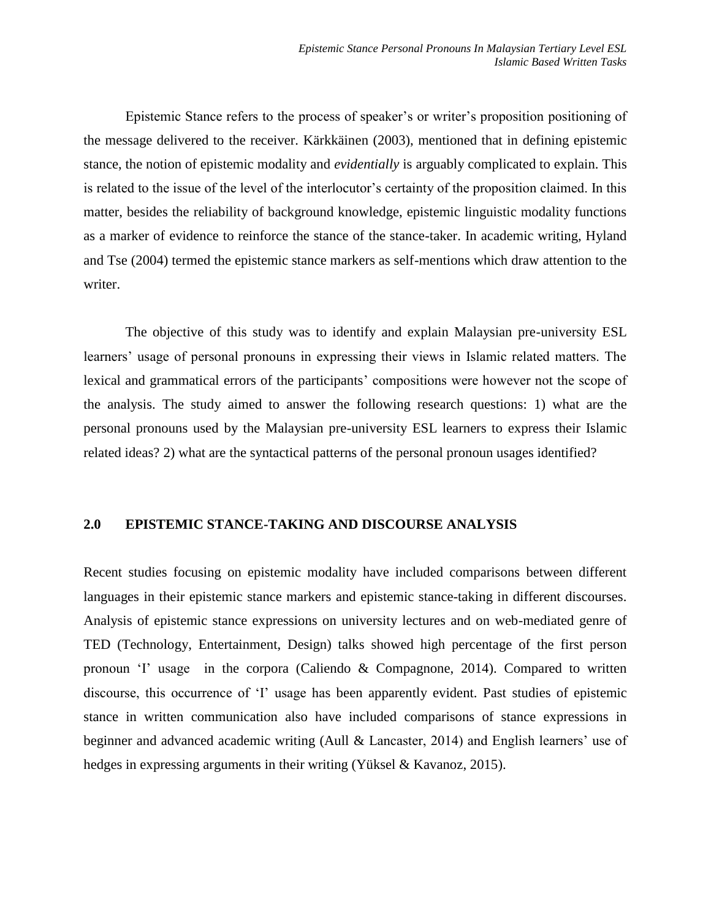Epistemic Stance refers to the process of speaker's or writer's proposition positioning of the message delivered to the receiver. Kärkkäinen (2003), mentioned that in defining epistemic stance, the notion of epistemic modality and *evidentially* is arguably complicated to explain. This is related to the issue of the level of the interlocutor's certainty of the proposition claimed. In this matter, besides the reliability of background knowledge, epistemic linguistic modality functions as a marker of evidence to reinforce the stance of the stance-taker. In academic writing, Hyland and Tse (2004) termed the epistemic stance markers as self-mentions which draw attention to the writer.

The objective of this study was to identify and explain Malaysian pre-university ESL learners' usage of personal pronouns in expressing their views in Islamic related matters. The lexical and grammatical errors of the participants' compositions were however not the scope of the analysis. The study aimed to answer the following research questions: 1) what are the personal pronouns used by the Malaysian pre-university ESL learners to express their Islamic related ideas? 2) what are the syntactical patterns of the personal pronoun usages identified?

### **2.0 EPISTEMIC STANCE-TAKING AND DISCOURSE ANALYSIS**

Recent studies focusing on epistemic modality have included comparisons between different languages in their epistemic stance markers and epistemic stance-taking in different discourses. Analysis of epistemic stance expressions on university lectures and on web-mediated genre of TED (Technology, Entertainment, Design) talks showed high percentage of the first person pronoun 'I' usage in the corpora (Caliendo & Compagnone, 2014). Compared to written discourse, this occurrence of 'I' usage has been apparently evident. Past studies of epistemic stance in written communication also have included comparisons of stance expressions in beginner and advanced academic writing (Aull & Lancaster, 2014) and English learners' use of hedges in expressing arguments in their writing (Yüksel & Kavanoz, 2015).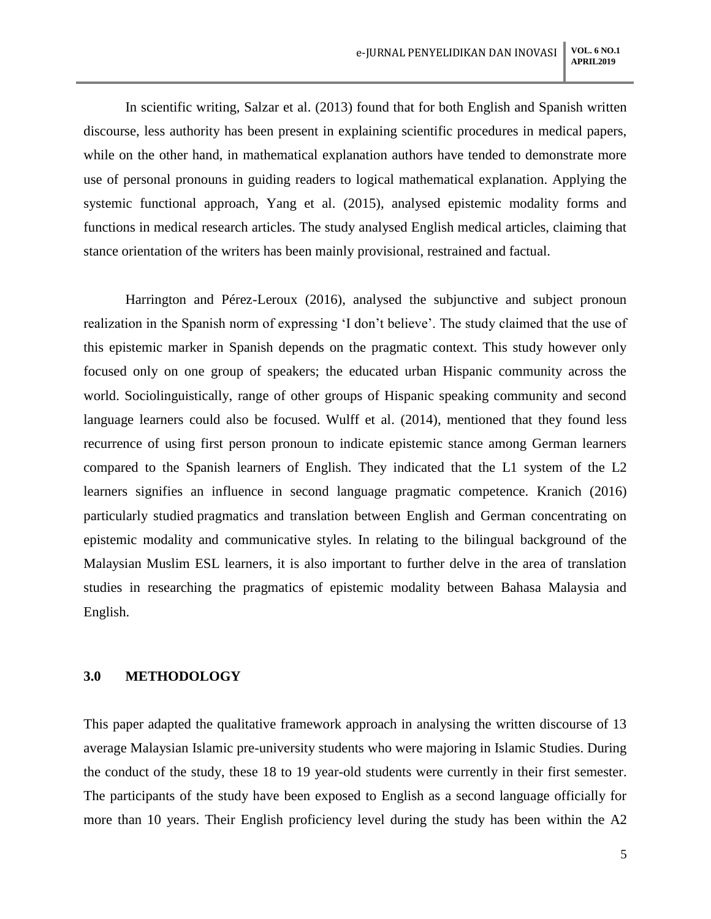In scientific writing, Salzar et al. (2013) found that for both English and Spanish written discourse, less authority has been present in explaining scientific procedures in medical papers, while on the other hand, in mathematical explanation authors have tended to demonstrate more use of personal pronouns in guiding readers to logical mathematical explanation. Applying the systemic functional approach, Yang et al. (2015), analysed epistemic modality forms and functions in medical research articles. The study analysed English medical articles, claiming that stance orientation of the writers has been mainly provisional, restrained and factual.

Harrington and Pérez-Leroux (2016), analysed the subjunctive and subject pronoun realization in the Spanish norm of expressing 'I don't believe'. The study claimed that the use of this epistemic marker in Spanish depends on the pragmatic context. This study however only focused only on one group of speakers; the educated urban Hispanic community across the world. Sociolinguistically, range of other groups of Hispanic speaking community and second language learners could also be focused. Wulff et al. (2014), mentioned that they found less recurrence of using first person pronoun to indicate epistemic stance among German learners compared to the Spanish learners of English. They indicated that the L1 system of the L2 learners signifies an influence in second language pragmatic competence. Kranich (2016) particularly studied pragmatics and translation between English and German concentrating on epistemic modality and communicative styles. In relating to the bilingual background of the Malaysian Muslim ESL learners, it is also important to further delve in the area of translation studies in researching the pragmatics of epistemic modality between Bahasa Malaysia and English.

#### **3.0 METHODOLOGY**

This paper adapted the qualitative framework approach in analysing the written discourse of 13 average Malaysian Islamic pre-university students who were majoring in Islamic Studies. During the conduct of the study, these 18 to 19 year-old students were currently in their first semester. The participants of the study have been exposed to English as a second language officially for more than 10 years. Their English proficiency level during the study has been within the A2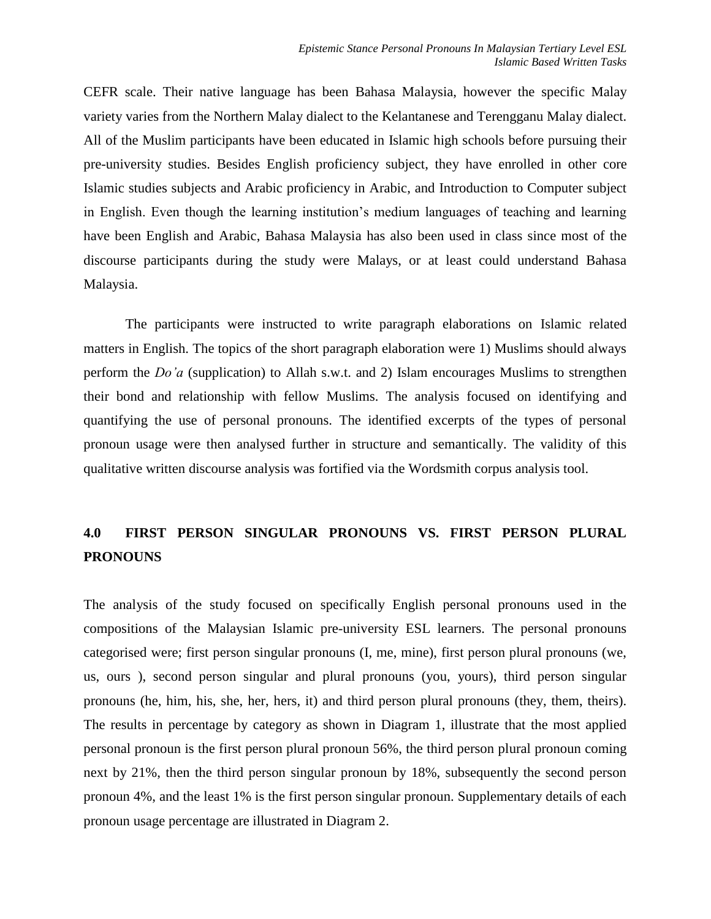CEFR scale. Their native language has been Bahasa Malaysia, however the specific Malay variety varies from the Northern Malay dialect to the Kelantanese and Terengganu Malay dialect. All of the Muslim participants have been educated in Islamic high schools before pursuing their pre-university studies. Besides English proficiency subject, they have enrolled in other core Islamic studies subjects and Arabic proficiency in Arabic, and Introduction to Computer subject in English. Even though the learning institution's medium languages of teaching and learning have been English and Arabic, Bahasa Malaysia has also been used in class since most of the discourse participants during the study were Malays, or at least could understand Bahasa Malaysia.

The participants were instructed to write paragraph elaborations on Islamic related matters in English. The topics of the short paragraph elaboration were 1) Muslims should always perform the *Do'a* (supplication) to Allah s.w.t. and 2) Islam encourages Muslims to strengthen their bond and relationship with fellow Muslims. The analysis focused on identifying and quantifying the use of personal pronouns. The identified excerpts of the types of personal pronoun usage were then analysed further in structure and semantically. The validity of this qualitative written discourse analysis was fortified via the Wordsmith corpus analysis tool.

# **4.0 FIRST PERSON SINGULAR PRONOUNS VS. FIRST PERSON PLURAL PRONOUNS**

The analysis of the study focused on specifically English personal pronouns used in the compositions of the Malaysian Islamic pre-university ESL learners. The personal pronouns categorised were; first person singular pronouns (I, me, mine), first person plural pronouns (we, us, ours ), second person singular and plural pronouns (you, yours), third person singular pronouns (he, him, his, she, her, hers, it) and third person plural pronouns (they, them, theirs). The results in percentage by category as shown in Diagram 1, illustrate that the most applied personal pronoun is the first person plural pronoun 56%, the third person plural pronoun coming next by 21%, then the third person singular pronoun by 18%, subsequently the second person pronoun 4%, and the least 1% is the first person singular pronoun. Supplementary details of each pronoun usage percentage are illustrated in Diagram 2.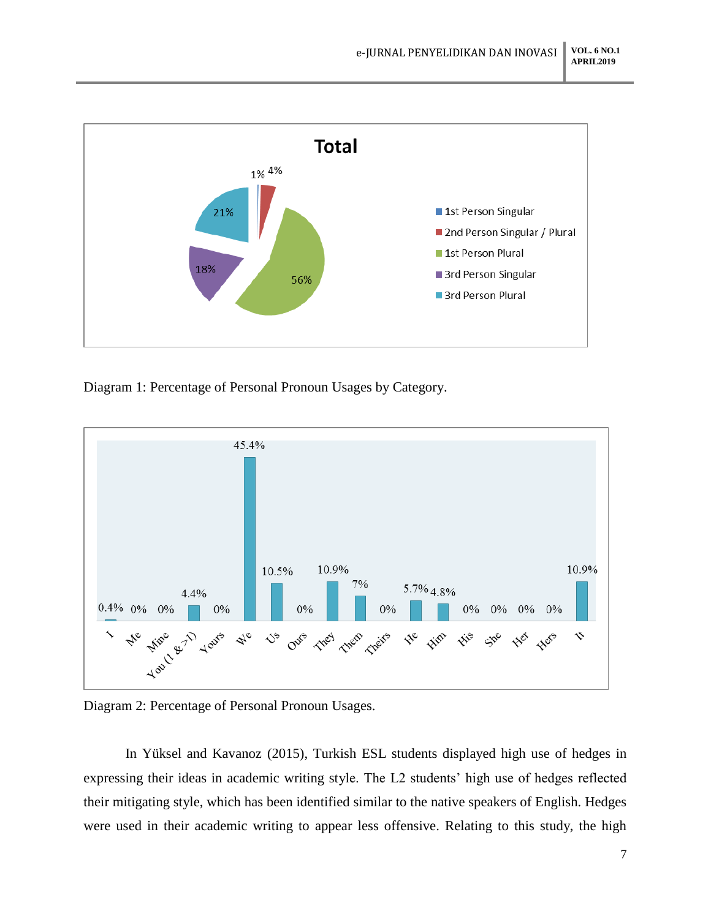

Diagram 1: Percentage of Personal Pronoun Usages by Category.



Diagram 2: Percentage of Personal Pronoun Usages.

In Yüksel and Kavanoz (2015), Turkish ESL students displayed high use of hedges in expressing their ideas in academic writing style. The L2 students' high use of hedges reflected their mitigating style, which has been identified similar to the native speakers of English. Hedges were used in their academic writing to appear less offensive. Relating to this study, the high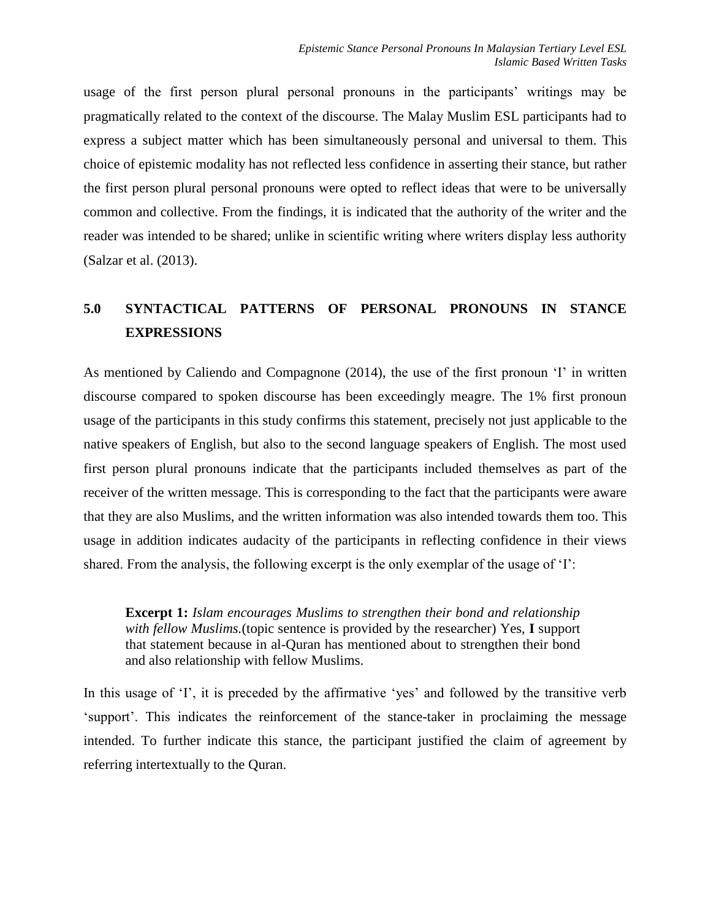usage of the first person plural personal pronouns in the participants' writings may be pragmatically related to the context of the discourse. The Malay Muslim ESL participants had to express a subject matter which has been simultaneously personal and universal to them. This choice of epistemic modality has not reflected less confidence in asserting their stance, but rather the first person plural personal pronouns were opted to reflect ideas that were to be universally common and collective. From the findings, it is indicated that the authority of the writer and the reader was intended to be shared; unlike in scientific writing where writers display less authority (Salzar et al. (2013).

# **5.0 SYNTACTICAL PATTERNS OF PERSONAL PRONOUNS IN STANCE EXPRESSIONS**

As mentioned by Caliendo and Compagnone (2014), the use of the first pronoun 'I' in written discourse compared to spoken discourse has been exceedingly meagre. The 1% first pronoun usage of the participants in this study confirms this statement, precisely not just applicable to the native speakers of English, but also to the second language speakers of English. The most used first person plural pronouns indicate that the participants included themselves as part of the receiver of the written message. This is corresponding to the fact that the participants were aware that they are also Muslims, and the written information was also intended towards them too. This usage in addition indicates audacity of the participants in reflecting confidence in their views shared. From the analysis, the following excerpt is the only exemplar of the usage of 'I':

**Excerpt 1:** *Islam encourages Muslims to strengthen their bond and relationship with fellow Muslims.*(topic sentence is provided by the researcher) Yes, **I** support that statement because in al-Quran has mentioned about to strengthen their bond and also relationship with fellow Muslims.

In this usage of 'I', it is preceded by the affirmative 'yes' and followed by the transitive verb 'support'. This indicates the reinforcement of the stance-taker in proclaiming the message intended. To further indicate this stance, the participant justified the claim of agreement by referring intertextually to the Quran.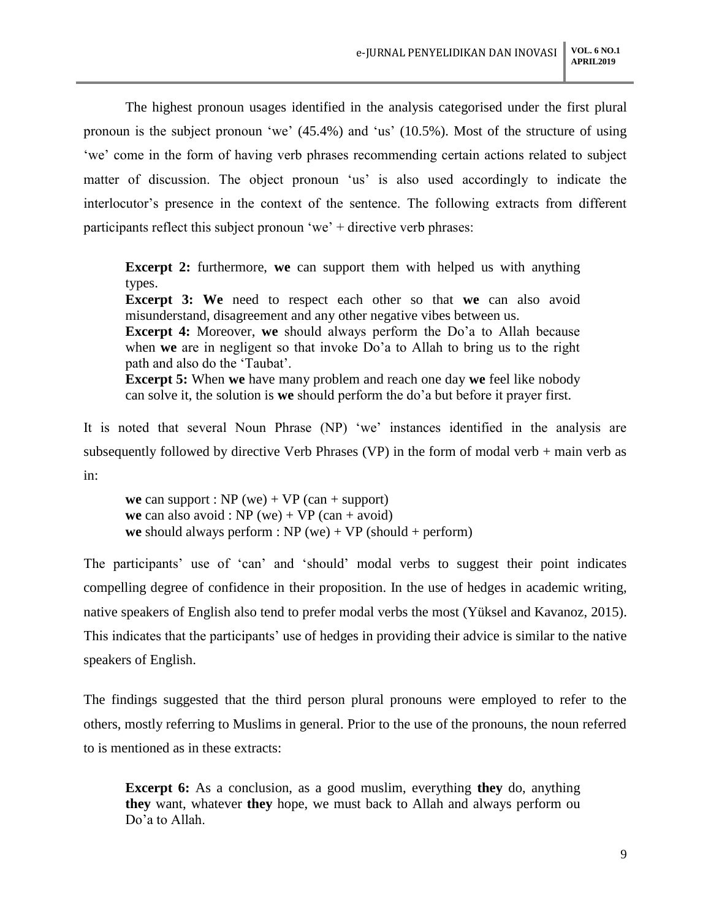The highest pronoun usages identified in the analysis categorised under the first plural pronoun is the subject pronoun 'we' (45.4%) and 'us' (10.5%). Most of the structure of using 'we' come in the form of having verb phrases recommending certain actions related to subject matter of discussion. The object pronoun 'us' is also used accordingly to indicate the interlocutor's presence in the context of the sentence. The following extracts from different participants reflect this subject pronoun 'we' + directive verb phrases:

**Excerpt 2:** furthermore, we can support them with helped us with anything types. **Excerpt 3: We** need to respect each other so that **we** can also avoid misunderstand, disagreement and any other negative vibes between us. **Excerpt 4:** Moreover, **we** should always perform the Do'a to Allah because when **we** are in negligent so that invoke Do'a to Allah to bring us to the right path and also do the 'Taubat'. **Excerpt 5:** When **we** have many problem and reach one day **we** feel like nobody can solve it, the solution is **we** should perform the do'a but before it prayer first.

It is noted that several Noun Phrase (NP) 'we' instances identified in the analysis are subsequently followed by directive Verb Phrases (VP) in the form of modal verb + main verb as in:

**we** can support :  $NP$  (we) +  $VP$  (can + support) **we** can also avoid : NP (we) + VP (can + avoid) **we** should always perform :  $NP$  (we) +  $VP$  (should + perform)

The participants' use of 'can' and 'should' modal verbs to suggest their point indicates compelling degree of confidence in their proposition. In the use of hedges in academic writing, native speakers of English also tend to prefer modal verbs the most (Yüksel and Kavanoz, 2015). This indicates that the participants' use of hedges in providing their advice is similar to the native speakers of English.

The findings suggested that the third person plural pronouns were employed to refer to the others, mostly referring to Muslims in general. Prior to the use of the pronouns, the noun referred to is mentioned as in these extracts:

**Excerpt 6:** As a conclusion, as a good muslim, everything **they** do, anything **they** want, whatever **they** hope, we must back to Allah and always perform ou Do'a to Allah.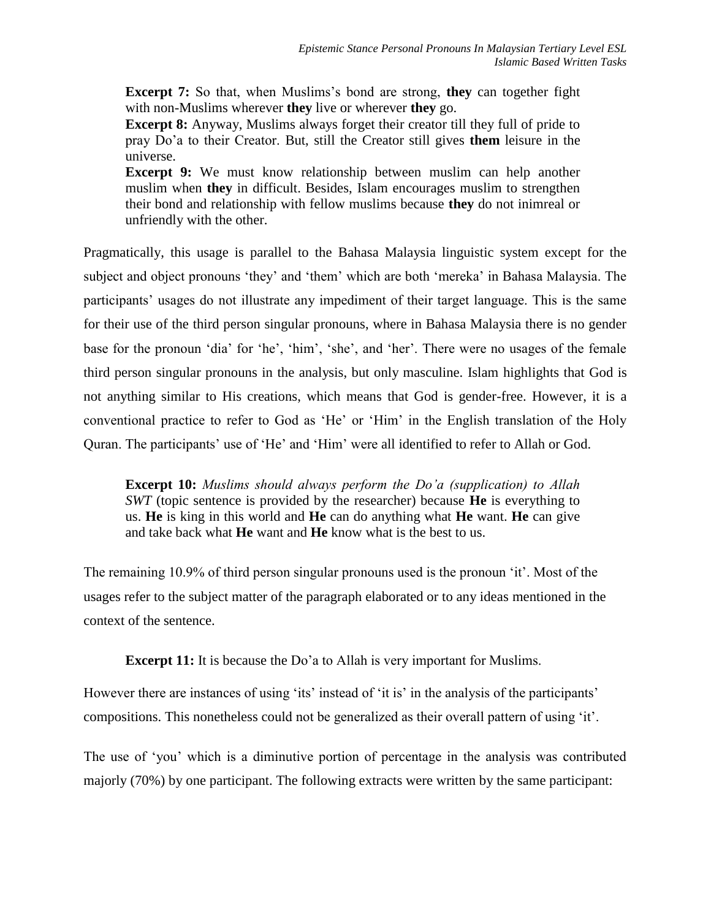**Excerpt 7:** So that, when Muslims's bond are strong, **they** can together fight with non-Muslims wherever **they** live or wherever **they** go.

**Excerpt 8:** Anyway, Muslims always forget their creator till they full of pride to pray Do'a to their Creator. But, still the Creator still gives **them** leisure in the universe.

**Excerpt 9:** We must know relationship between muslim can help another muslim when **they** in difficult. Besides, Islam encourages muslim to strengthen their bond and relationship with fellow muslims because **they** do not inimreal or unfriendly with the other.

Pragmatically, this usage is parallel to the Bahasa Malaysia linguistic system except for the subject and object pronouns 'they' and 'them' which are both 'mereka' in Bahasa Malaysia. The participants' usages do not illustrate any impediment of their target language. This is the same for their use of the third person singular pronouns, where in Bahasa Malaysia there is no gender base for the pronoun 'dia' for 'he', 'him', 'she', and 'her'. There were no usages of the female third person singular pronouns in the analysis, but only masculine. Islam highlights that God is not anything similar to His creations, which means that God is gender-free. However, it is a conventional practice to refer to God as 'He' or 'Him' in the English translation of the Holy Quran. The participants' use of 'He' and 'Him' were all identified to refer to Allah or God.

**Excerpt 10:** *Muslims should always perform the Do'a (supplication) to Allah SWT* (topic sentence is provided by the researcher) because **He** is everything to us. **He** is king in this world and **He** can do anything what **He** want. **He** can give and take back what **He** want and **He** know what is the best to us.

The remaining 10.9% of third person singular pronouns used is the pronoun 'it'. Most of the usages refer to the subject matter of the paragraph elaborated or to any ideas mentioned in the context of the sentence.

**Excerpt 11:** It is because the Do'a to Allah is very important for Muslims.

However there are instances of using 'its' instead of 'it is' in the analysis of the participants' compositions. This nonetheless could not be generalized as their overall pattern of using 'it'.

The use of 'you' which is a diminutive portion of percentage in the analysis was contributed majorly (70%) by one participant. The following extracts were written by the same participant: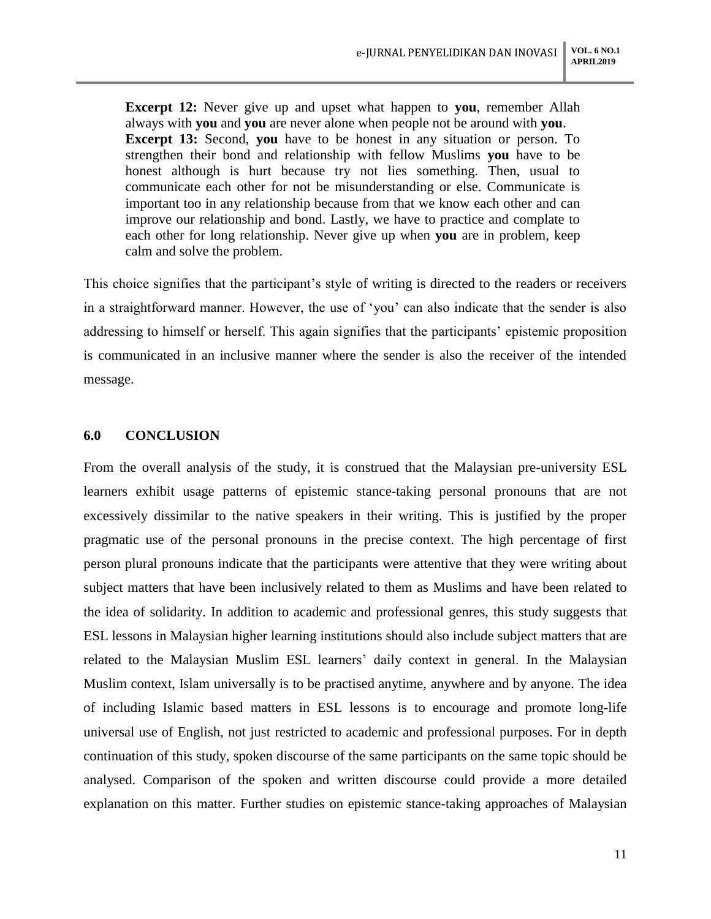**Excerpt 12:** Never give up and upset what happen to **you**, remember Allah always with **you** and **you** are never alone when people not be around with **you**. **Excerpt 13:** Second, **you** have to be honest in any situation or person. To strengthen their bond and relationship with fellow Muslims **you** have to be honest although is hurt because try not lies something. Then, usual to communicate each other for not be misunderstanding or else. Communicate is important too in any relationship because from that we know each other and can improve our relationship and bond. Lastly, we have to practice and complate to each other for long relationship. Never give up when **you** are in problem, keep calm and solve the problem.

This choice signifies that the participant's style of writing is directed to the readers or receivers in a straightforward manner. However, the use of 'you' can also indicate that the sender is also addressing to himself or herself. This again signifies that the participants' epistemic proposition is communicated in an inclusive manner where the sender is also the receiver of the intended message.

#### **6.0 CONCLUSION**

From the overall analysis of the study, it is construed that the Malaysian pre-university ESL learners exhibit usage patterns of epistemic stance-taking personal pronouns that are not excessively dissimilar to the native speakers in their writing. This is justified by the proper pragmatic use of the personal pronouns in the precise context. The high percentage of first person plural pronouns indicate that the participants were attentive that they were writing about subject matters that have been inclusively related to them as Muslims and have been related to the idea of solidarity. In addition to academic and professional genres, this study suggests that ESL lessons in Malaysian higher learning institutions should also include subject matters that are related to the Malaysian Muslim ESL learners' daily context in general. In the Malaysian Muslim context, Islam universally is to be practised anytime, anywhere and by anyone. The idea of including Islamic based matters in ESL lessons is to encourage and promote long-life universal use of English, not just restricted to academic and professional purposes. For in depth continuation of this study, spoken discourse of the same participants on the same topic should be analysed. Comparison of the spoken and written discourse could provide a more detailed explanation on this matter. Further studies on epistemic stance-taking approaches of Malaysian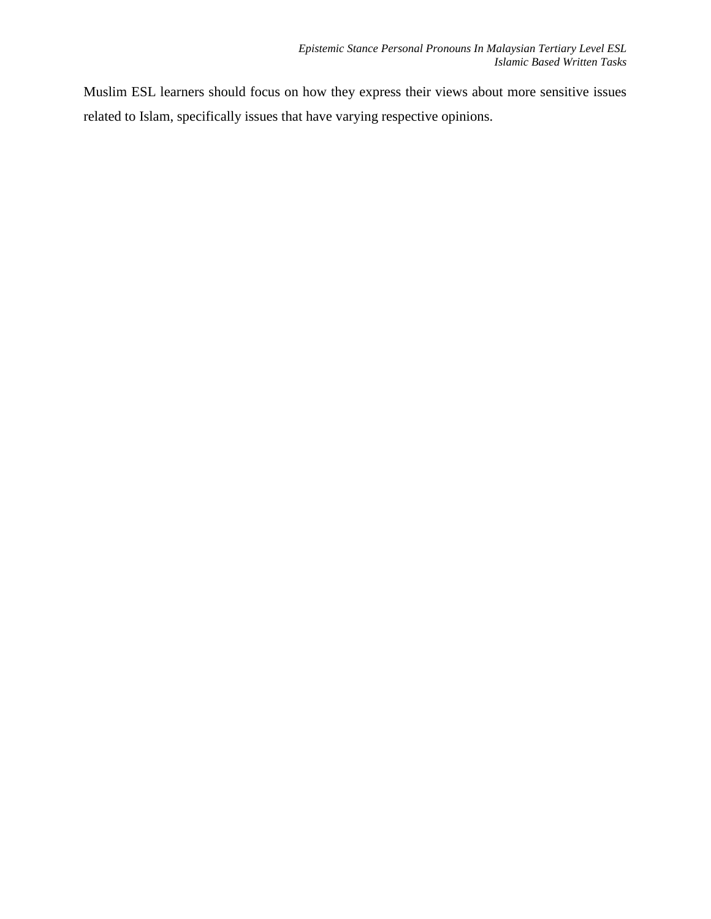Muslim ESL learners should focus on how they express their views about more sensitive issues related to Islam, specifically issues that have varying respective opinions.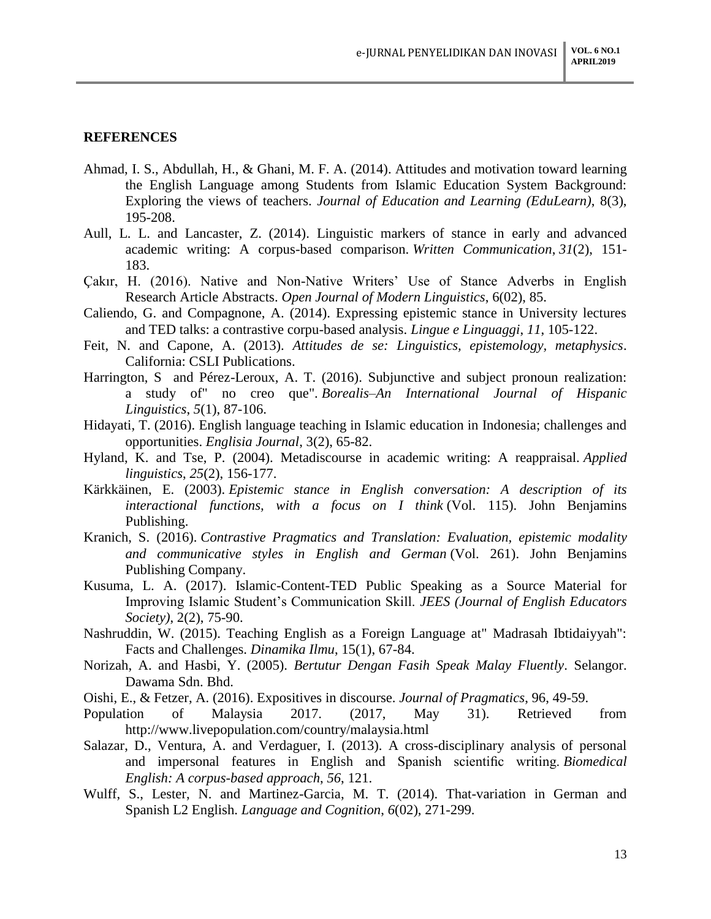#### **REFERENCES**

- Ahmad, I. S., Abdullah, H., & Ghani, M. F. A. (2014). Attitudes and motivation toward learning the English Language among Students from Islamic Education System Background: Exploring the views of teachers. *Journal of Education and Learning (EduLearn)*, 8(3), 195-208.
- Aull, L. L. and Lancaster, Z. (2014). Linguistic markers of stance in early and advanced academic writing: A corpus-based comparison. *Written Communication*, *31*(2), 151- 183.
- Çakır, H. (2016). Native and Non-Native Writers' Use of Stance Adverbs in English Research Article Abstracts. *Open Journal of Modern Linguistics*, 6(02), 85.
- Caliendo, G. and Compagnone, A. (2014). Expressing epistemic stance in University lectures and TED talks: a contrastive corpu-based analysis. *Lingue e Linguaggi*, *11*, 105-122.
- Feit, N. and Capone, A. (2013). *Attitudes de se: Linguistics, epistemology, metaphysics*. California: CSLI Publications.
- Harrington, S and Pérez-Leroux, A. T. (2016). Subjunctive and subject pronoun realization: a study of" no creo que". *Borealis–An International Journal of Hispanic Linguistics*, *5*(1), 87-106.
- Hidayati, T. (2016). English language teaching in Islamic education in Indonesia; challenges and opportunities. *Englisia Journal*, 3(2), 65-82.
- Hyland, K. and Tse, P. (2004). Metadiscourse in academic writing: A reappraisal. *Applied linguistics*, *25*(2), 156-177.
- Kärkkäinen, E. (2003). *Epistemic stance in English conversation: A description of its interactional functions, with a focus on I think* (Vol. 115). John Benjamins Publishing.
- Kranich, S. (2016). *Contrastive Pragmatics and Translation: Evaluation, epistemic modality and communicative styles in English and German* (Vol. 261). John Benjamins Publishing Company.
- Kusuma, L. A. (2017). Islamic-Content-TED Public Speaking as a Source Material for Improving Islamic Student's Communication Skill. *JEES (Journal of English Educators Society)*, 2(2), 75-90.
- Nashruddin, W. (2015). Teaching English as a Foreign Language at" Madrasah Ibtidaiyyah": Facts and Challenges. *Dinamika Ilmu*, 15(1), 67-84.
- Norizah, A. and Hasbi, Y. (2005). *Bertutur Dengan Fasih Speak Malay Fluently*. Selangor. Dawama Sdn. Bhd.
- Oishi, E., & Fetzer, A. (2016). Expositives in discourse. *Journal of Pragmatics*, 96, 49-59.
- Population of Malaysia 2017. (2017, May 31). Retrieved from http://www.livepopulation.com/country/malaysia.html
- Salazar, D., Ventura, A. and Verdaguer, I. (2013). A cross-disciplinary analysis of personal and impersonal features in English and Spanish scientific writing. *Biomedical English: A corpus-based approach*, *56*, 121.
- Wulff, S., Lester, N. and Martinez-Garcia, M. T. (2014). That-variation in German and Spanish L2 English. *Language and Cognition*, *6*(02), 271-299.